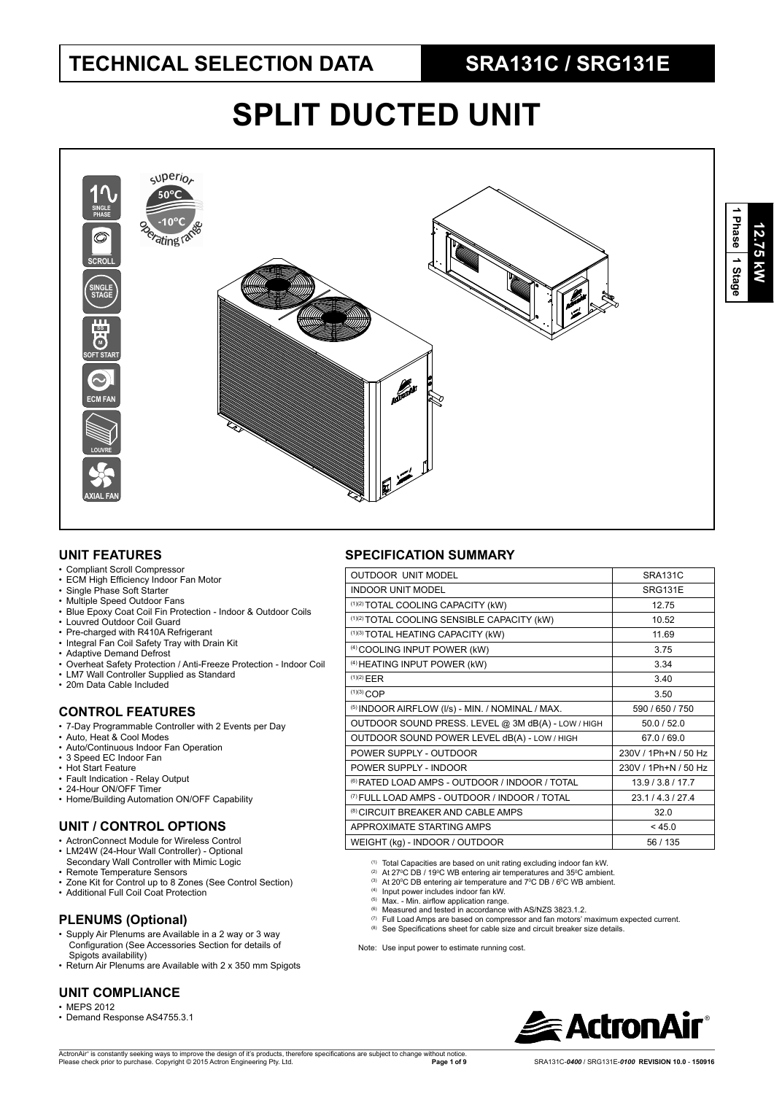# **SPLIT DUCTED UNIT**



## **UNIT FEATURES**

- Compliant Scroll Compressor
- ECM High Efficiency Indoor Fan Motor
- Single Phase Soft Starter
- Multiple Speed Outdoor Fans
- Blue Epoxy Coat Coil Fin Protection Indoor & Outdoor Coils
- Louvred Outdoor Coil Guard
- Pre-charged with R410A Refrigerant
- Integral Fan Coil Safety Tray with Drain Kit
- Adaptive Demand Defrost
- Overheat Safety Protection / Anti-Freeze Protection Indoor Coil • LM7 Wall Controller Supplied as Standard
- 
- 20m Data Cable Included

## **CONTROL FEATURES**

- 7-Day Programmable Controller with 2 Events per Day
- Auto, Heat & Cool Modes
- Auto/Continuous Indoor Fan Operation
- 3 Speed EC Indoor Fan
- Hot Start Feature
- Fault Indication Relay Output • 24-Hour ON/OFF Timer
- 
- Home/Building Automation ON/OFF Capability

## **UNIT / CONTROL OPTIONS**

- ActronConnect Module for Wireless Control
- LM24W (24-Hour Wall Controller) Optional
- Secondary Wall Controller with Mimic Logic Remote Temperature Sensors
- Zone Kit for Control up to 8 Zones (See Control Section)
- Additional Full Coil Coat Protection

- **PLENUMS (Optional)** • Supply Air Plenums are Available in a 2 way or 3 way Eupply Allen Continue Section Configuration (See Accessories Section for details of
- Spigots availability) • Return Air Plenums are Available with 2 x 350 mm Spigots

## **UNIT COMPLIANCE**

- MEPS 2012
- Demand Response AS4755.3.1

## **SPECIFICATION SUMMARY**

| <b>OUTDOOR UNIT MODEL</b>                                 | SRA131C              |
|-----------------------------------------------------------|----------------------|
| <b>INDOOR UNIT MODEL</b>                                  | <b>SRG131E</b>       |
| (1)(2) TOTAL COOLING CAPACITY (kW)                        | 12.75                |
| (1)(2) TOTAL COOLING SENSIBLE CAPACITY (kW)               | 10.52                |
| (1)(3) TOTAL HEATING CAPACITY (kW)                        | 11 69                |
| <sup>(4)</sup> COOLING INPUT POWER (kW)                   | 3.75                 |
| <sup>(4)</sup> HEATING INPUT POWER (kW)                   | 3.34                 |
| (1)(2) EER                                                | 3.40                 |
| $(1)(3)$ COP                                              | 3.50                 |
| (5) INDOOR AIRFLOW (I/s) - MIN. / NOMINAL / MAX.          | 590 / 650 / 750      |
| OUTDOOR SOUND PRESS. LEVEL @ 3M dB(A) - LOW / HIGH        | 50.0 / 52.0          |
| OUTDOOR SOUND POWER LEVEL dB(A) - LOW / HIGH              | 67.0 / 69.0          |
| POWER SUPPLY - OUTDOOR                                    | 230V / 1Ph+N / 50 Hz |
| POWER SUPPLY - INDOOR                                     | 230V / 1Ph+N / 50 Hz |
| <sup>(6)</sup> RATED LOAD AMPS - OUTDOOR / INDOOR / TOTAL | 13.9/3.8/17.7        |
| <sup>(7)</sup> FULL LOAD AMPS - OUTDOOR / INDOOR / TOTAL  | 23.1/4.3/27.4        |
| <sup>(8)</sup> CIRCUIT BREAKER AND CABLE AMPS             | 32.0                 |
| APPROXIMATE STARTING AMPS                                 | < 45.0               |
| WEIGHT (kg) - INDOOR / OUTDOOR                            | 56 / 135             |
|                                                           |                      |

(1) Total Capacities are based on unit rating excluding indoor fan kW.

- <sup>(2)</sup> At 27°C DB / 19°C WB entering air temperatures and 35°C ambient.<br><sup>(3)</sup> At 20°C DB entering air temperature and 7°C DB / 6°C WB ambient.
- 

(4) Input power includes indoor fan kW.<br>(5) Max. - Min. airflow application range.

- $(6)$  Measured and tested in accordance with AS/NZS 3823.1.2
- (7) Full Load Amps are based on compressor and fan motors' maximum expected current.
- (8) See Specifications sheet for cable size and circuit breaker size details.

Note: Use input power to estimate running cost.

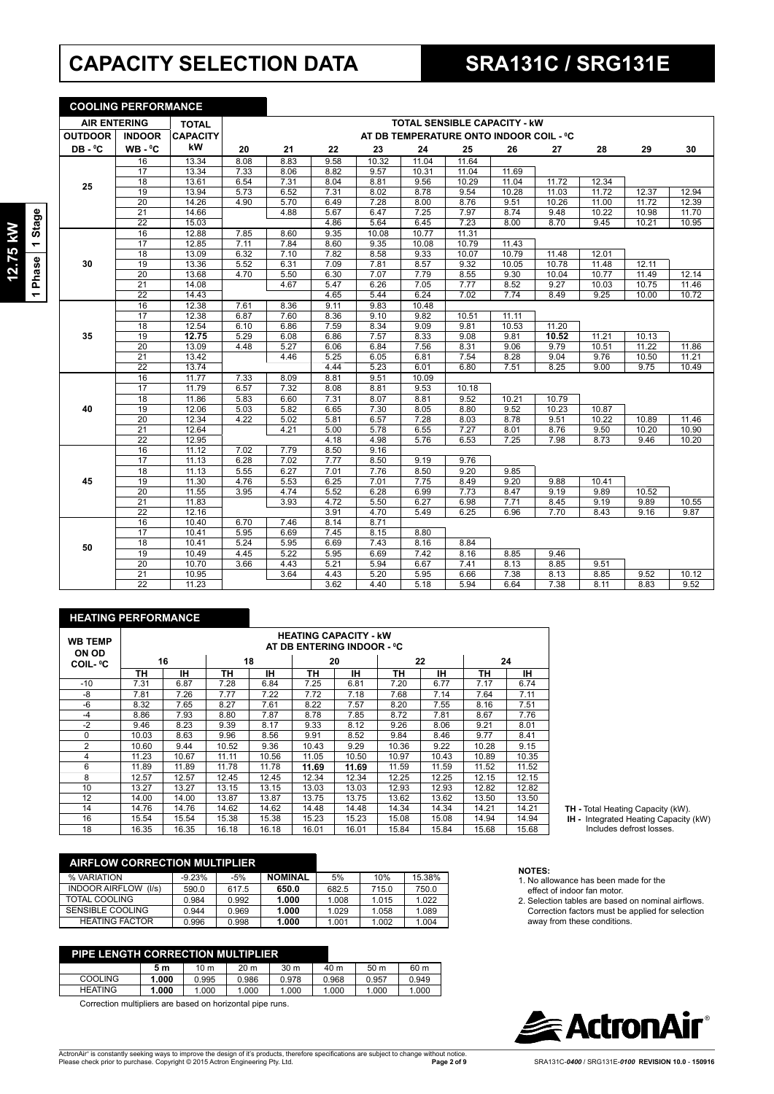# **CAPACITY SELECTION DATA SRA131C / SRG131E**

**COOLING PERFORMANCE**

1 Phase 1 Stage **1 Phase 1 Stage** 12.75 kW **12.75 kW**

| <b>AIR ENTERING</b> |                 | <b>TOTAL</b>    |      |      |      |       | <b>TOTAL SENSIBLE CAPACITY - KW</b><br>AT DB TEMPERATURE ONTO INDOOR COIL - °C |       |       |       |       |       |       |
|---------------------|-----------------|-----------------|------|------|------|-------|--------------------------------------------------------------------------------|-------|-------|-------|-------|-------|-------|
| <b>OUTDOOR</b>      | <b>INDOOR</b>   | <b>CAPACITY</b> |      |      |      |       |                                                                                |       |       |       |       |       |       |
| DB-°C               | $WB - C$        | kW              | 20   | 21   | 22   | 23    | 24                                                                             | 25    | 26    | 27    | 28    | 29    | 30    |
|                     | 16              | 13.34           | 8.08 | 8.83 | 9.58 | 10.32 | 11.04                                                                          | 11.64 |       |       |       |       |       |
|                     | 17              | 13.34           | 7.33 | 8.06 | 8.82 | 9.57  | 10.31                                                                          | 11.04 | 11.69 |       |       |       |       |
| 25                  | 18              | 13.61           | 6.54 | 7.31 | 8.04 | 8.81  | 9.56                                                                           | 10.29 | 11.04 | 11.72 | 12.34 |       |       |
|                     | 19              | 13.94           | 5.73 | 6.52 | 7.31 | 8.02  | 8.78                                                                           | 9.54  | 10.28 | 11.03 | 11.72 | 12.37 | 12.94 |
|                     | 20              | 14.26           | 4.90 | 5.70 | 6.49 | 7.28  | 8.00                                                                           | 8.76  | 9.51  | 10.26 | 11.00 | 11.72 | 12.39 |
|                     | $\overline{21}$ | 14.66           |      | 4.88 | 5.67 | 6.47  | 7.25                                                                           | 7.97  | 8.74  | 9.48  | 10.22 | 10.98 | 11.70 |
|                     | $\overline{22}$ | 15.03           |      |      | 4.86 | 5.64  | 6.45                                                                           | 7.23  | 8.00  | 8.70  | 9.45  | 10.21 | 10.95 |
|                     | 16              | 12.88           | 7.85 | 8.60 | 9.35 | 10.08 | 10.77                                                                          | 11.31 |       |       |       |       |       |
|                     | 17              | 12.85           | 7.11 | 7.84 | 8.60 | 9.35  | 10.08                                                                          | 10.79 | 11.43 |       |       |       |       |
|                     | 18              | 13.09           | 6.32 | 7.10 | 7.82 | 8.58  | 9.33                                                                           | 10.07 | 10.79 | 11.48 | 12.01 |       |       |
| 30                  | 19              | 13.36           | 5.52 | 6.31 | 7.09 | 7.81  | 8.57                                                                           | 9.32  | 10.05 | 10.78 | 11.48 | 12.11 |       |
|                     | $\overline{20}$ | 13.68           | 4.70 | 5.50 | 6.30 | 7.07  | 7.79                                                                           | 8.55  | 9.30  | 10.04 | 10.77 | 11.49 | 12.14 |
|                     | 21              | 14.08           |      | 4.67 | 5.47 | 6.26  | 7.05                                                                           | 7.77  | 8.52  | 9.27  | 10.03 | 10.75 | 11.46 |
|                     | $\overline{22}$ | 14.43           |      |      | 4.65 | 5.44  | 6.24                                                                           | 7.02  | 7.74  | 8.49  | 9.25  | 10.00 | 10.72 |
|                     | 16              | 12.38           | 7.61 | 8.36 | 9.11 | 9.83  | 10.48                                                                          |       |       |       |       |       |       |
|                     | 17              | 12.38           | 6.87 | 7.60 | 8.36 | 9.10  | 9.82                                                                           | 10.51 | 11.11 |       |       |       |       |
|                     | $\overline{18}$ | 12.54           | 6.10 | 6.86 | 7.59 | 8.34  | 9.09                                                                           | 9.81  | 10.53 | 11.20 |       |       |       |
| 35                  | 19              | 12.75           | 5.29 | 6.08 | 6.86 | 7.57  | 8.33                                                                           | 9.08  | 9.81  | 10.52 | 11.21 | 10.13 |       |
|                     | 20              | 13.09           | 4.48 | 5.27 | 6.06 | 6.84  | 7.56                                                                           | 8.31  | 9.06  | 9.79  | 10.51 | 11.22 | 11.86 |
|                     | 21              | 13.42           |      | 4.46 | 5.25 | 6.05  | 6.81                                                                           | 7.54  | 8.28  | 9.04  | 9.76  | 10.50 | 11.21 |
|                     | $\overline{22}$ | 13.74           |      |      | 4.44 | 5.23  | 6.01                                                                           | 6.80  | 7.51  | 8.25  | 9.00  | 9.75  | 10.49 |
|                     | 16              | 11.77           | 7.33 | 8.09 | 8.81 | 9.51  | 10.09                                                                          |       |       |       |       |       |       |
|                     | 17              | 11.79           | 6.57 | 7.32 | 8.08 | 8.81  | 9.53                                                                           | 10.18 |       |       |       |       |       |
|                     | $\overline{18}$ | 11.86           | 5.83 | 6.60 | 7.31 | 8.07  | 8.81                                                                           | 9.52  | 10.21 | 10.79 |       |       |       |
| 40                  | 19              | 12.06           | 5.03 | 5.82 | 6.65 | 7.30  | 8.05                                                                           | 8.80  | 9.52  | 10.23 | 10.87 |       |       |
|                     | 20              | 12.34           | 4.22 | 5.02 | 5.81 | 6.57  | 7.28                                                                           | 8.03  | 8.78  | 9.51  | 10.22 | 10.89 | 11.46 |
|                     | $\overline{21}$ | 12.64           |      | 4.21 | 5.00 | 5.78  | 6.55                                                                           | 7.27  | 8.01  | 8.76  | 9.50  | 10.20 | 10.90 |
|                     | $\overline{22}$ | 12.95           |      |      | 4.18 | 4.98  | 5.76                                                                           | 6.53  | 7.25  | 7.98  | 8.73  | 9.46  | 10.20 |
|                     | 16              | 11.12           | 7.02 | 7.79 | 8.50 | 9.16  |                                                                                |       |       |       |       |       |       |
|                     | 17              | 11.13           | 6.28 | 7.02 | 7.77 | 8.50  | 9.19                                                                           | 9.76  |       |       |       |       |       |
|                     | 18              | 11.13           | 5.55 | 6.27 | 7.01 | 7.76  | 8.50                                                                           | 9.20  | 9.85  |       |       |       |       |
| 45                  | 19              | 11.30           | 4.76 | 5.53 | 6.25 | 7.01  | 7.75                                                                           | 8.49  | 9.20  | 9.88  | 10.41 |       |       |
|                     | 20              | 11.55           | 3.95 | 4.74 | 5.52 | 6.28  | 6.99                                                                           | 7.73  | 8.47  | 9.19  | 9.89  | 10.52 |       |
|                     | 21              | 11.83           |      | 3.93 | 4.72 | 5.50  | 6.27                                                                           | 6.98  | 7.71  | 8.45  | 9.19  | 9.89  | 10.55 |
|                     | $\overline{22}$ | 12.16           |      |      | 3.91 | 4.70  | 5.49                                                                           | 6.25  | 6.96  | 7.70  | 8.43  | 9.16  | 9.87  |
|                     | 16              | 10.40           | 6.70 | 7.46 | 8.14 | 8.71  |                                                                                |       |       |       |       |       |       |
|                     | 17              | 10.41           | 5.95 | 6.69 | 7.45 | 8.15  | 8.80                                                                           |       |       |       |       |       |       |
| 50                  | 18              | 10.41           | 5.24 | 5.95 | 6.69 | 7.43  | 8.16                                                                           | 8.84  |       |       |       |       |       |
|                     | 19              | 10.49           | 4.45 | 5.22 | 5.95 | 6.69  | 7.42                                                                           | 8.16  | 8.85  | 9.46  |       |       |       |
|                     | $\overline{20}$ | 10.70           | 3.66 | 4.43 | 5.21 | 5.94  | 6.67                                                                           | 7.41  | 8.13  | 8.85  | 9.51  |       |       |
|                     | $\overline{21}$ | 10.95           |      | 3.64 | 4.43 | 5.20  | 5.95                                                                           | 6.66  | 7.38  | 8.13  | 8.85  | 9.52  | 10.12 |
|                     | 22              | 11.23           |      |      | 3.62 | 4.40  | 5.18                                                                           | 5.94  | 6.64  | 7.38  | 8.11  | 8.83  | 9.52  |

### **HEATING PERFORMANCE**

| <b>WB TEMP</b><br><b>ON OD</b> |       | <b>HEATING CAPACITY - kW</b><br>AT DB ENTERING INDOOR - °C |       |       |       |       |       |       |       |       |  |  |  |  |
|--------------------------------|-------|------------------------------------------------------------|-------|-------|-------|-------|-------|-------|-------|-------|--|--|--|--|
| <b>COIL-</b> °C                |       | 16                                                         |       | 18    |       | 20    |       | 22    |       | 24    |  |  |  |  |
|                                | TН    | ıн                                                         | TН    | IH.   | TН    | IН    | TН    | IН    | TН    | IН    |  |  |  |  |
| $-10$                          | 7.31  | 6.87                                                       | 7.28  | 6.84  | 7.25  | 6.81  | 7.20  | 6.77  | 7.17  | 6.74  |  |  |  |  |
| -8                             | 7.81  | 7.26                                                       | 7.77  | 7.22  | 7.72  | 7.18  | 7.68  | 7.14  | 7.64  | 7.11  |  |  |  |  |
| $-6$                           | 8.32  | 7.65                                                       | 8.27  | 7.61  | 8.22  | 7.57  | 8.20  | 7.55  | 8.16  | 7.51  |  |  |  |  |
| $-4$                           | 8.86  | 7.93                                                       | 8.80  | 7.87  | 8.78  | 7.85  | 8.72  | 7.81  | 8.67  | 7.76  |  |  |  |  |
| $-2$                           | 9.46  | 8.23                                                       | 9.39  | 8.17  | 9.33  | 8.12  | 9.26  | 8.06  | 9.21  | 8.01  |  |  |  |  |
| 0                              | 10.03 | 8.63                                                       | 9.96  | 8.56  | 9.91  | 8.52  | 9.84  | 8.46  | 9.77  | 8.41  |  |  |  |  |
| $\overline{2}$                 | 10.60 | 9.44                                                       | 10.52 | 9.36  | 10.43 | 9.29  | 10.36 | 9.22  | 10.28 | 9.15  |  |  |  |  |
| 4                              | 11.23 | 10.67                                                      | 11.11 | 10.56 | 11.05 | 10.50 | 10.97 | 10.43 | 10.89 | 10.35 |  |  |  |  |
| 6                              | 11.89 | 11.89                                                      | 11.78 | 11.78 | 11.69 | 11.69 | 11.59 | 11.59 | 11.52 | 11.52 |  |  |  |  |
| 8                              | 12.57 | 12.57                                                      | 12.45 | 12.45 | 12.34 | 12.34 | 12.25 | 12.25 | 12.15 | 12.15 |  |  |  |  |
| 10                             | 13.27 | 13.27                                                      | 13.15 | 13.15 | 13.03 | 13.03 | 12.93 | 12.93 | 12.82 | 12.82 |  |  |  |  |
| 12                             | 14.00 | 14.00                                                      | 13.87 | 13.87 | 13.75 | 13.75 | 13.62 | 13.62 | 13.50 | 13.50 |  |  |  |  |
| 14                             | 14.76 | 14.76                                                      | 14.62 | 14.62 | 14.48 | 14.48 | 14.34 | 14.34 | 14.21 | 14.21 |  |  |  |  |
| 16                             | 15.54 | 15.54                                                      | 15.38 | 15.38 | 15.23 | 15.23 | 15.08 | 15.08 | 14.94 | 14.94 |  |  |  |  |
| 18                             | 16.35 | 16.35                                                      | 16.18 | 16.18 | 16.01 | 16.01 | 15.84 | 15.84 | 15.68 | 15.68 |  |  |  |  |

| <b>AIRFLOW CORRECTION MULTIPLIER</b> |          |       |                |       |       |        |
|--------------------------------------|----------|-------|----------------|-------|-------|--------|
| % VARIATION                          | $-9.23%$ | $-5%$ | <b>NOMINAL</b> | 5%    | 10%   | 15.38% |
| <b>INDOOR AIRFLOW</b><br>(1/s)       | 590.0    | 617.5 | 650.0          | 682.5 | 715.0 | 750.0  |
| TOTAL COOLING                        | 0.984    | 0.992 | 1.000          | 1.008 | 1.015 | 1.022  |
| SENSIBLE COOLING                     | 0.944    | 0.969 | 1.000          | 1.029 | 1.058 | 1.089  |
| <b>HEATING FACTOR</b>                | 0.996    | 0.998 | 1.000          | 1.001 | 1.002 | 1.004  |

| PIPE LENGTH CORRECTION MULTIPLIER |       |       |                 |                 |       |                 |       |
|-----------------------------------|-------|-------|-----------------|-----------------|-------|-----------------|-------|
|                                   | 5 m   | 10 m  | 20 <sub>m</sub> | 30 <sub>m</sub> | 40 m  | 50 <sub>m</sub> | 60 m  |
| <b>COOLING</b>                    | 1.000 | 0.995 | 0.986           | 0.978           | 0.968 | 0.957           | 0.949 |
| <b>HEATING</b>                    | 1.000 | 1.000 | 1.000           | 1.000           | 1.000 | 1.000           | 1.000 |

Correction multipliers are based on horizontal pipe runs.

- **NOTES:** 1. No allowance has been made for the effect of indoor fan motor.
- 2. Selection tables are based on nominal airflows. Correction factors must be applied for selection

**TH -** Total Heating Capacity (kW).  **IH -** Integrated Heating Capacity (kW) Includes defrost losses.

away from these conditions.

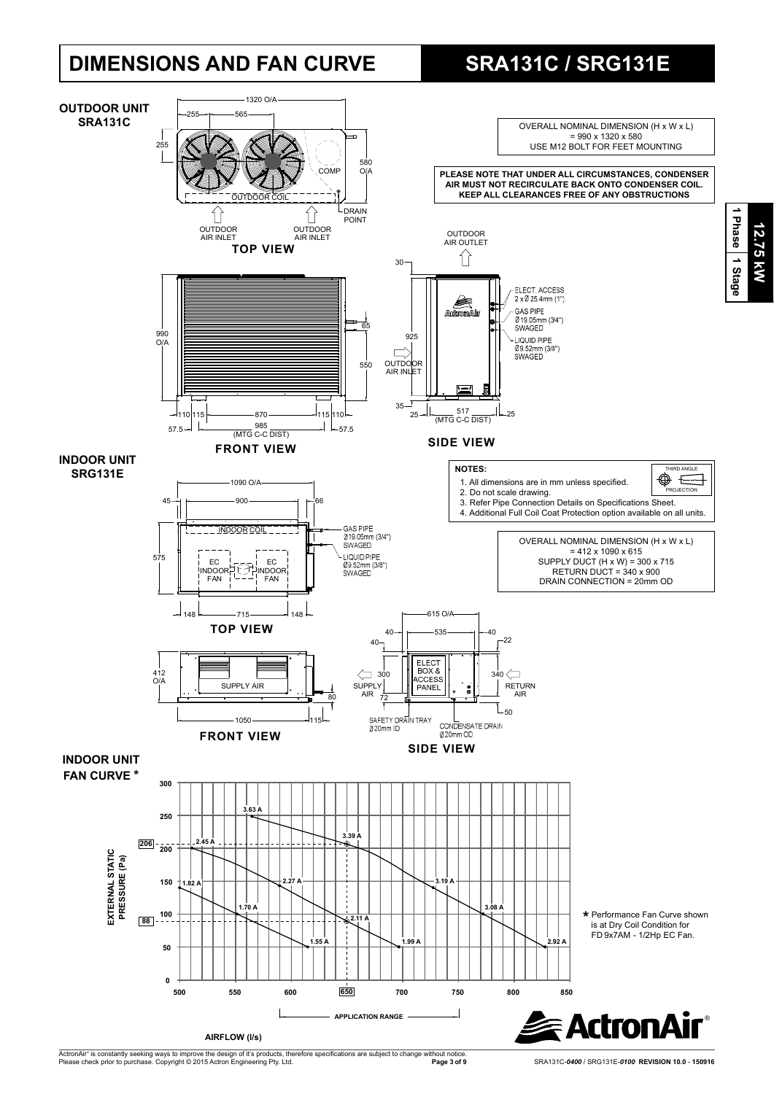# **DIMENSIONS AND FAN CURVE SRA131C / SRG131E**



ActronAir® is constantly seeking ways to improve the design of it's products, therefore specifications are subject to change without notice.<br>Please check prior to purchase. Copyright © 2015 Actron Engineering Pty. Ltd.

**Page 3 of 9** SRA131C-*0400* / SRG131E-*0100* **REVISION 10.0** - **150916**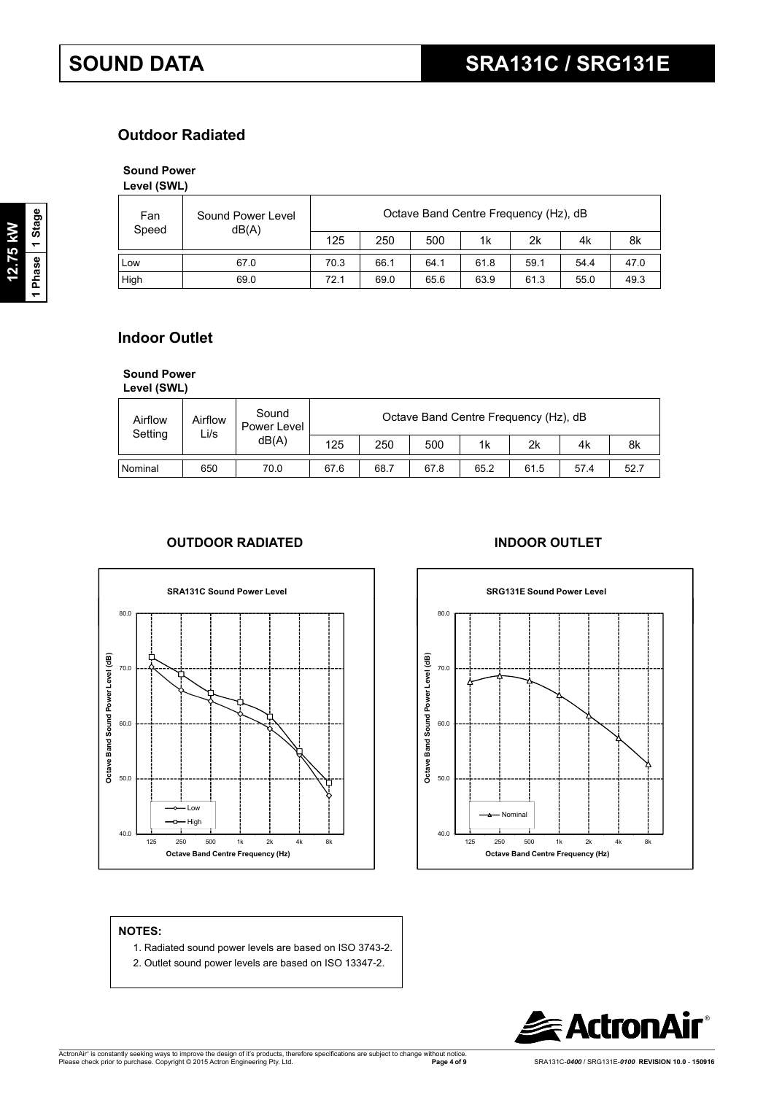# **Outdoor Radiated**

# **Sound Power**

**Level (SWL)**

| Fan<br>Speed | Sound Power Level<br>dB(A) | Octave Band Centre Frequency (Hz), dB |      |      |      |      |      |      |  |  |
|--------------|----------------------------|---------------------------------------|------|------|------|------|------|------|--|--|
|              |                            | 125                                   | 250  | 500  | 1k   | 2k   | 4k   | 8k   |  |  |
| i Low        | 67.0                       | 70.3                                  | 66.1 | 64.1 | 61.8 | 59.1 | 54.4 | 47.0 |  |  |
| High         | 69.0                       | 72.1                                  | 69.0 | 65.6 | 63.9 | 61.3 | 55.0 | 49.3 |  |  |

# **Indoor Outlet**

**Sound Power** 

| Level (SWL) |  |
|-------------|--|
|             |  |

| Airflow<br>Setting | Airflow<br>Li/s | Sound<br>Power Level | Octave Band Centre Frequency (Hz), dB |      |      |      |      |      |      |  |
|--------------------|-----------------|----------------------|---------------------------------------|------|------|------|------|------|------|--|
|                    |                 | dB(A)                | 125                                   | 250  | 500  | 1k   | 2k   | 4k   | 8k   |  |
| Nominal            | 650             | 70.0                 | 67.6                                  | 68.7 | 67.8 | 65.2 | 61.5 | 57.4 | 52.7 |  |

## **OUTDOOR RADIATED INDOOR OUTLET**





### **NOTES:**

- 1. Radiated sound power levels are based on ISO 3743-2.
- 2. Outlet sound power levels are based on ISO 13347-2.

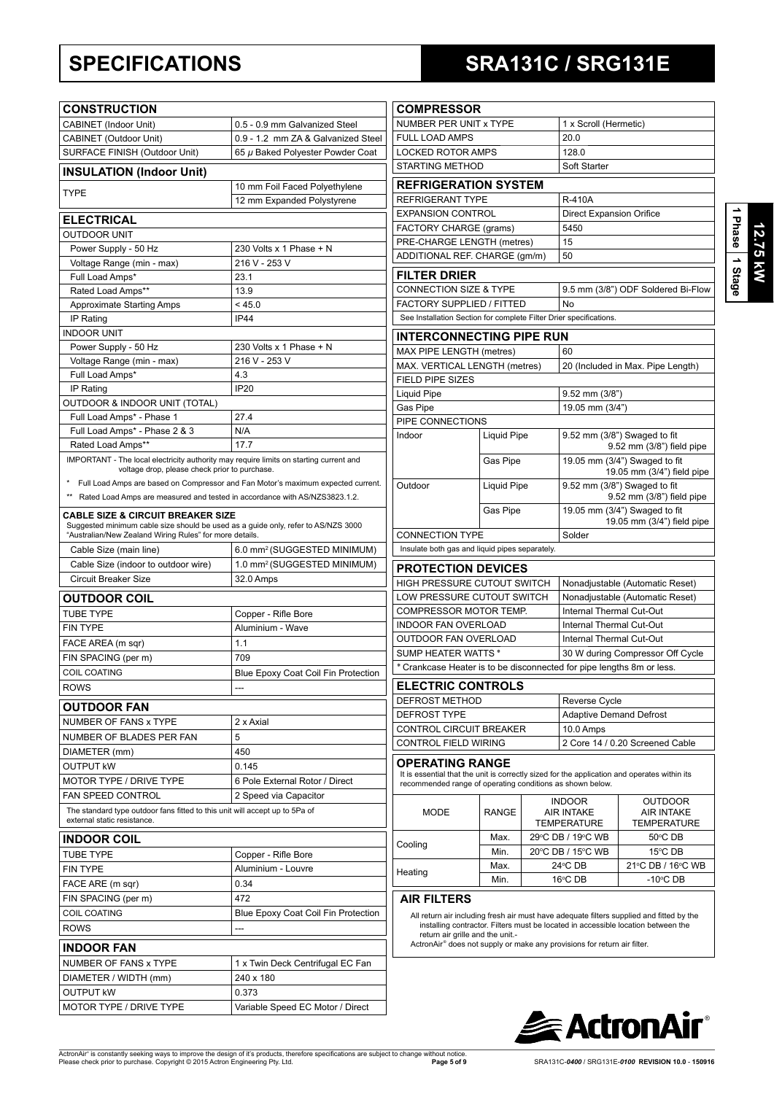# **SPECIFICATIONS SRA131C / SRG131E**

| 9SB  |  |
|------|--|
| Star |  |

| <b>CONSTRUCTION</b>                                                                                                                          |                                                                                  | <b>COMPRESSOR</b>                                   |  |
|----------------------------------------------------------------------------------------------------------------------------------------------|----------------------------------------------------------------------------------|-----------------------------------------------------|--|
| CABINET (Indoor Unit)                                                                                                                        | 0.5 - 0.9 mm Galvanized Steel                                                    | NUMBER PER UNIT                                     |  |
| CABINET (Outdoor Unit)                                                                                                                       | 0.9 - 1.2 mm ZA & Galvanized Steel                                               | <b>FULL LOAD AMPS</b>                               |  |
| SURFACE FINISH (Outdoor Unit)                                                                                                                | 65 µ Baked Polyester Powder Coat                                                 | <b>LOCKED ROTOR AN</b>                              |  |
| <b>INSULATION (Indoor Unit)</b>                                                                                                              |                                                                                  | <b>STARTING METHOD</b>                              |  |
|                                                                                                                                              | 10 mm Foil Faced Polyethylene                                                    | <b>REFRIGERATIO</b>                                 |  |
| TYPE                                                                                                                                         | 12 mm Expanded Polystyrene                                                       | <b>REFRIGERANT TYP</b>                              |  |
| <b>ELECTRICAL</b>                                                                                                                            |                                                                                  | <b>EXPANSION CONTR</b>                              |  |
| <b>OUTDOOR UNIT</b>                                                                                                                          |                                                                                  | <b>FACTORY CHARGE</b>                               |  |
| Power Supply - 50 Hz                                                                                                                         | 230 Volts x 1 Phase + N                                                          | PRE-CHARGE LENG                                     |  |
| Voltage Range (min - max)                                                                                                                    | 216 V - 253 V                                                                    | ADDITIONAL REF. C                                   |  |
| Full Load Amps*                                                                                                                              | 23.1                                                                             | <b>FILTER DRIER</b>                                 |  |
| Rated Load Amps**                                                                                                                            | 13.9                                                                             | <b>CONNECTION SIZE</b>                              |  |
| <b>Approximate Starting Amps</b>                                                                                                             | < 45.0                                                                           | <b>FACTORY SUPPLIEI</b>                             |  |
| IP Rating                                                                                                                                    | <b>IP44</b>                                                                      | See Installation Section                            |  |
| <b>INDOOR UNIT</b>                                                                                                                           |                                                                                  | <b>INTERCONNEC</b>                                  |  |
| Power Supply - 50 Hz                                                                                                                         | 230 Volts x 1 Phase + N                                                          | MAX PIPE LENGTH                                     |  |
| Voltage Range (min - max)                                                                                                                    | 216 V - 253 V                                                                    | <b>MAX. VERTICAL LEN</b>                            |  |
| Full Load Amps*                                                                                                                              | 4.3                                                                              | FIELD PIPE SIZES                                    |  |
| IP Rating                                                                                                                                    | <b>IP20</b>                                                                      | Liquid Pipe                                         |  |
| OUTDOOR & INDOOR UNIT (TOTAL)                                                                                                                |                                                                                  | Gas Pipe                                            |  |
| Full Load Amps* - Phase 1                                                                                                                    | 27.4                                                                             | PIPE CONNECTION:                                    |  |
| Full Load Amps* - Phase 2 & 3                                                                                                                | N/A                                                                              | Indoor                                              |  |
| Rated Load Amps**                                                                                                                            | 17.7                                                                             |                                                     |  |
| IMPORTANT - The local electricity authority may require limits on starting current and<br>voltage drop, please check prior to purchase.      |                                                                                  |                                                     |  |
|                                                                                                                                              | Full Load Amps are based on Compressor and Fan Motor's maximum expected current. | Outdoor                                             |  |
| ** Rated Load Amps are measured and tested in accordance with AS/NZS3823.1.2.                                                                |                                                                                  |                                                     |  |
| <b>CABLE SIZE &amp; CIRCUIT BREAKER SIZE</b>                                                                                                 |                                                                                  |                                                     |  |
| Suggested minimum cable size should be used as a guide only, refer to AS/NZS 3000<br>"Australian/New Zealand Wiring Rules" for more details. |                                                                                  | <b>CONNECTION TYPE</b>                              |  |
| Cable Size (main line)                                                                                                                       | 6.0 mm <sup>2</sup> (SUGGESTED MINIMUM)                                          | Insulate both gas and lie                           |  |
| Cable Size (indoor to outdoor wire)                                                                                                          | 1.0 mm <sup>2</sup> (SUGGESTED MINIMUM)                                          | <b>PROTECTION D</b>                                 |  |
| Circuit Breaker Size                                                                                                                         | 32.0 Amps                                                                        | <b>HIGH PRESSURE C</b>                              |  |
| <b>OUTDOOR COIL</b>                                                                                                                          |                                                                                  | <b>LOW PRESSURE CL</b>                              |  |
| <b>TUBE TYPE</b>                                                                                                                             | Copper - Rifle Bore                                                              | <b>COMPRESSOR MOT</b>                               |  |
| <b>FIN TYPE</b>                                                                                                                              | Aluminium - Wave                                                                 | <b>INDOOR FAN OVER</b>                              |  |
| FACE AREA (m sqr)                                                                                                                            | 1.1                                                                              | <b>OUTDOOR FAN OVE</b>                              |  |
|                                                                                                                                              |                                                                                  |                                                     |  |
|                                                                                                                                              |                                                                                  | <b>SUMP HEATER WAT</b>                              |  |
| FIN SPACING (per m)                                                                                                                          | 709                                                                              | * Crankcase Heater is                               |  |
| COIL COATING                                                                                                                                 | Blue Epoxy Coat Coil Fin Protection<br>---                                       |                                                     |  |
| ROWS                                                                                                                                         |                                                                                  | <b>ELECTRIC CON</b><br><b>DEFROST METHOD</b>        |  |
| <b>OUTDOOR FAN</b>                                                                                                                           |                                                                                  | DEFROST TYPE                                        |  |
| NUMBER OF FANS x TYPE                                                                                                                        | 2 x Axial                                                                        | CONTROL CIRCUIT                                     |  |
| NUMBER OF BLADES PER FAN                                                                                                                     | 5                                                                                | <b>CONTROL FIELD WI</b>                             |  |
| DIAMETER (mm)                                                                                                                                | 450                                                                              |                                                     |  |
| <b>OUTPUT KW</b>                                                                                                                             | 0.145                                                                            | OPERATING RA                                        |  |
| MOTOR TYPE / DRIVE TYPE                                                                                                                      | 6 Pole External Rotor / Direct                                                   | It is essential that the ur<br>recommended range of |  |
| <b>FAN SPEED CONTROL</b>                                                                                                                     | 2 Speed via Capacitor                                                            |                                                     |  |
| The standard type outdoor fans fitted to this unit will accept up to 5Pa of<br>external static resistance.                                   |                                                                                  | MODE                                                |  |
| <b>INDOOR COIL</b>                                                                                                                           |                                                                                  |                                                     |  |
| <b>TUBE TYPE</b>                                                                                                                             | Copper - Rifle Bore                                                              | Cooling                                             |  |
| <b>FIN TYPE</b>                                                                                                                              | Aluminium - Louvre                                                               |                                                     |  |
| FACE ARE (m sqr)                                                                                                                             | 0.34                                                                             | Heating                                             |  |
| FIN SPACING (per m)                                                                                                                          | 472                                                                              | <b>AIR FILTERS</b>                                  |  |
| COIL COATING                                                                                                                                 | Blue Epoxy Coat Coil Fin Protection                                              |                                                     |  |
| ROWS                                                                                                                                         | ---                                                                              | All return air includin<br>installing contracto     |  |
|                                                                                                                                              |                                                                                  | return air grille and                               |  |
| <b>INDOOR FAN</b>                                                                                                                            |                                                                                  | ActronAir® does not s                               |  |
| NUMBER OF FANS x TYPE                                                                                                                        | 1 x Twin Deck Centrifugal EC Fan                                                 |                                                     |  |
| DIAMETER / WIDTH (mm)                                                                                                                        | 240 x 180                                                                        |                                                     |  |
| OUTPUT KW<br>MOTOR TYPE / DRIVE TYPE                                                                                                         | 0.373<br>Variable Speed EC Motor / Direct                                        |                                                     |  |

| ייטשטוייט                                                                                                                                                                           |                    |  |                                                             |                                                                                                                                                                               |  |  |  |
|-------------------------------------------------------------------------------------------------------------------------------------------------------------------------------------|--------------------|--|-------------------------------------------------------------|-------------------------------------------------------------------------------------------------------------------------------------------------------------------------------|--|--|--|
| NUMBER PER UNIT x TYPE                                                                                                                                                              |                    |  | 1 x Scroll (Hermetic)                                       |                                                                                                                                                                               |  |  |  |
| <b>FULL LOAD AMPS</b>                                                                                                                                                               |                    |  | 20.0                                                        |                                                                                                                                                                               |  |  |  |
| <b>LOCKED ROTOR AMPS</b>                                                                                                                                                            |                    |  | 128.0                                                       |                                                                                                                                                                               |  |  |  |
| <b>STARTING METHOD</b>                                                                                                                                                              |                    |  | Soft Starter                                                |                                                                                                                                                                               |  |  |  |
| <b>REFRIGERATION SYSTEM</b>                                                                                                                                                         |                    |  |                                                             |                                                                                                                                                                               |  |  |  |
| REFRIGERANT TYPE                                                                                                                                                                    |                    |  | <b>R-410A</b>                                               |                                                                                                                                                                               |  |  |  |
| <b>EXPANSION CONTROL</b>                                                                                                                                                            |                    |  | <b>Direct Expansion Orifice</b>                             |                                                                                                                                                                               |  |  |  |
| <b>FACTORY CHARGE (grams)</b>                                                                                                                                                       |                    |  | 5450                                                        |                                                                                                                                                                               |  |  |  |
| PRE-CHARGE LENGTH (metres)                                                                                                                                                          |                    |  | 15                                                          |                                                                                                                                                                               |  |  |  |
| ADDITIONAL REF. CHARGE (qm/m)                                                                                                                                                       |                    |  | 50                                                          |                                                                                                                                                                               |  |  |  |
| <b>FILTER DRIER</b>                                                                                                                                                                 |                    |  |                                                             |                                                                                                                                                                               |  |  |  |
| <b>CONNECTION SIZE &amp; TYPE</b>                                                                                                                                                   |                    |  |                                                             | 9.5 mm (3/8") ODF Soldered Bi-Flow                                                                                                                                            |  |  |  |
| FACTORY SUPPLIED / FITTED                                                                                                                                                           |                    |  | No                                                          |                                                                                                                                                                               |  |  |  |
| See Installation Section for complete Filter Drier specifications.                                                                                                                  |                    |  |                                                             |                                                                                                                                                                               |  |  |  |
|                                                                                                                                                                                     |                    |  |                                                             |                                                                                                                                                                               |  |  |  |
| <b>INTERCONNECTING PIPE RUN</b>                                                                                                                                                     |                    |  |                                                             |                                                                                                                                                                               |  |  |  |
| MAX PIPE LENGTH (metres)                                                                                                                                                            |                    |  | 60                                                          |                                                                                                                                                                               |  |  |  |
| MAX. VERTICAL LENGTH (metres)                                                                                                                                                       |                    |  |                                                             | 20 (Included in Max. Pipe Length)                                                                                                                                             |  |  |  |
| <b>FIELD PIPE SIZES</b><br><b>Liquid Pipe</b>                                                                                                                                       |                    |  | $9.52$ mm $(3/8")$                                          |                                                                                                                                                                               |  |  |  |
|                                                                                                                                                                                     |                    |  |                                                             |                                                                                                                                                                               |  |  |  |
| Gas Pipe<br>PIPE CONNECTIONS                                                                                                                                                        |                    |  | 19.05 mm (3/4")                                             |                                                                                                                                                                               |  |  |  |
| Indoor                                                                                                                                                                              | <b>Liquid Pipe</b> |  |                                                             | 9.52 mm (3/8") Swaged to fit<br>9.52 mm (3/8") field pipe                                                                                                                     |  |  |  |
|                                                                                                                                                                                     | Gas Pipe           |  | 19.05 mm (3/4") Swaged to fit<br>19.05 mm (3/4") field pipe |                                                                                                                                                                               |  |  |  |
| Outdoor                                                                                                                                                                             | <b>Liquid Pipe</b> |  |                                                             | 9.52 mm (3/8") Swaged to fit<br>9.52 mm (3/8") field pipe                                                                                                                     |  |  |  |
|                                                                                                                                                                                     | Gas Pipe           |  |                                                             | 19.05 mm (3/4") Swaged to fit<br>19.05 mm (3/4") field pipe                                                                                                                   |  |  |  |
| <b>CONNECTION TYPE</b>                                                                                                                                                              |                    |  | Solder                                                      |                                                                                                                                                                               |  |  |  |
| Insulate both gas and liquid pipes separately.                                                                                                                                      |                    |  |                                                             |                                                                                                                                                                               |  |  |  |
| <b>PROTECTION DEVICES</b>                                                                                                                                                           |                    |  |                                                             |                                                                                                                                                                               |  |  |  |
| HIGH PRESSURE CUTOUT SWITCH                                                                                                                                                         |                    |  |                                                             | Nonadjustable (Automatic Reset)                                                                                                                                               |  |  |  |
| LOW PRESSURE CUTOUT SWITCH                                                                                                                                                          |                    |  | Nonadjustable (Automatic Reset)                             |                                                                                                                                                                               |  |  |  |
| <b>COMPRESSOR MOTOR TEMP.</b>                                                                                                                                                       |                    |  | Internal Thermal Cut-Out                                    |                                                                                                                                                                               |  |  |  |
| <b>INDOOR FAN OVERLOAD</b>                                                                                                                                                          |                    |  | Internal Thermal Cut-Out                                    |                                                                                                                                                                               |  |  |  |
| OUTDOOR FAN OVERLOAD                                                                                                                                                                |                    |  | Internal Thermal Cut-Out                                    |                                                                                                                                                                               |  |  |  |
| <b>SUMP HEATER WATTS*</b>                                                                                                                                                           |                    |  | 30 W during Compressor Off Cycle                            |                                                                                                                                                                               |  |  |  |
| * Crankcase Heater is to be disconnected for pipe lengths 8m or less.                                                                                                               |                    |  |                                                             |                                                                                                                                                                               |  |  |  |
|                                                                                                                                                                                     |                    |  |                                                             |                                                                                                                                                                               |  |  |  |
| <b>ELECTRIC CONTROLS</b>                                                                                                                                                            |                    |  |                                                             |                                                                                                                                                                               |  |  |  |
| DEFROST METHOD                                                                                                                                                                      |                    |  | Reverse Cycle                                               |                                                                                                                                                                               |  |  |  |
| <b>DEFROST TYPE</b>                                                                                                                                                                 |                    |  | <b>Adaptive Demand Defrost</b>                              |                                                                                                                                                                               |  |  |  |
| CONTROL CIRCUIT BREAKER<br><b>CONTROL FIELD WIRING</b>                                                                                                                              |                    |  | 10.0 Amps                                                   | 2 Core 14 / 0.20 Screened Cable                                                                                                                                               |  |  |  |
|                                                                                                                                                                                     |                    |  |                                                             |                                                                                                                                                                               |  |  |  |
| <b>OPERATING RANGE</b><br>It is essential that the unit is correctly sized for the application and operates within its<br>recommended range of operating conditions as shown below. |                    |  |                                                             |                                                                                                                                                                               |  |  |  |
| MODE                                                                                                                                                                                | <b>RANGE</b>       |  | <b>INDOOR</b><br><b>AIR INTAKE</b><br><b>TEMPERATURE</b>    | <b>OUTDOOR</b><br><b>AIR INTAKE</b><br><b>TEMPERATURE</b>                                                                                                                     |  |  |  |
| Cooling                                                                                                                                                                             | Max.               |  | 29°C DB / 19°C WB                                           | 50°C DB                                                                                                                                                                       |  |  |  |
|                                                                                                                                                                                     | Min.               |  | 20°C DB / 15°C WB                                           | 15°C DB                                                                                                                                                                       |  |  |  |
| Heating                                                                                                                                                                             | Max.               |  | 24°C DB                                                     | 21℃ DB / 16℃ WB                                                                                                                                                               |  |  |  |
|                                                                                                                                                                                     | Min.               |  | 16°C DB                                                     | $-10^{\circ}$ CDB                                                                                                                                                             |  |  |  |
| <b>AIR FILTERS</b>                                                                                                                                                                  |                    |  |                                                             |                                                                                                                                                                               |  |  |  |
| roturn air arillo and the unit                                                                                                                                                      |                    |  |                                                             | All return air including fresh air must have adequate filters supplied and fitted by the<br>installing contractor. Filters must be located in accessible location between the |  |  |  |

return air grille and the unit.-<br>ActronAir® does not supply or make any provisions for return air filter.

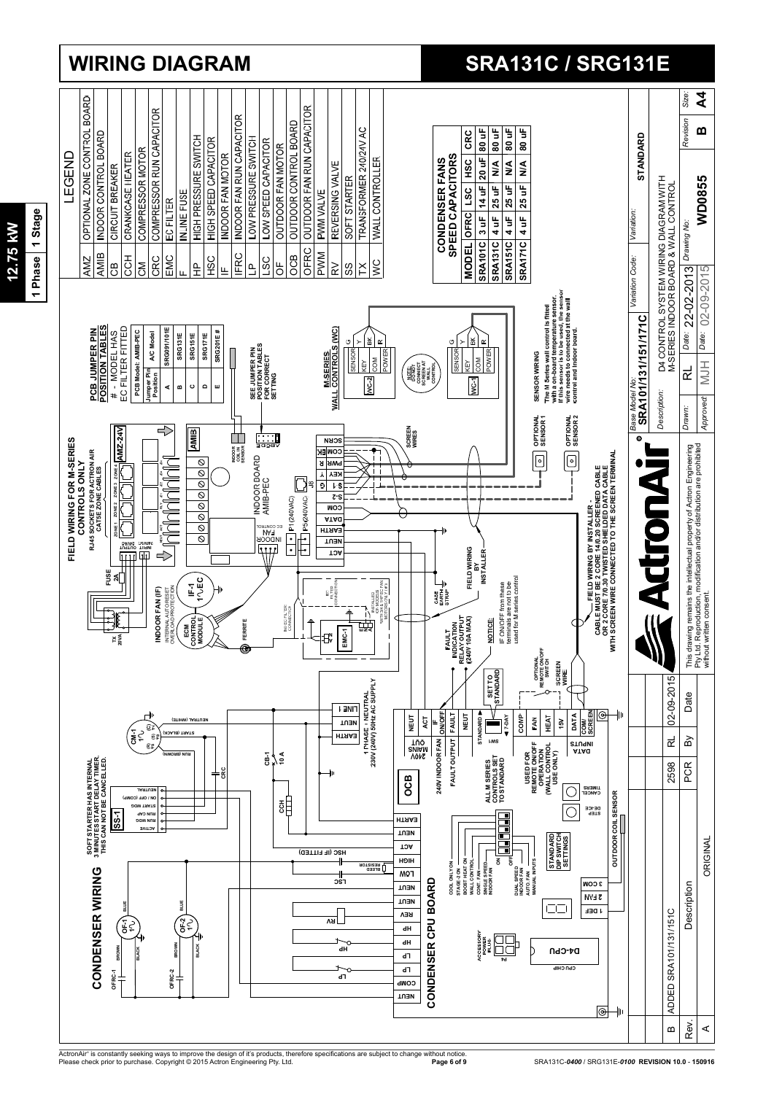

## ActronAir® is constantly seeking ways to improve the design of it's products, therefore specifications are subject to change without notice.<br>Please check prior to purchase. Copyright © 2015 Actron Engineering Pty. Ltd.

# 1 Phase 1 Stage **1 Phase 1 Stage 12.75 kW** 12.75 kW

# **WIRING DIAGRAM SRA131C / SRG131E**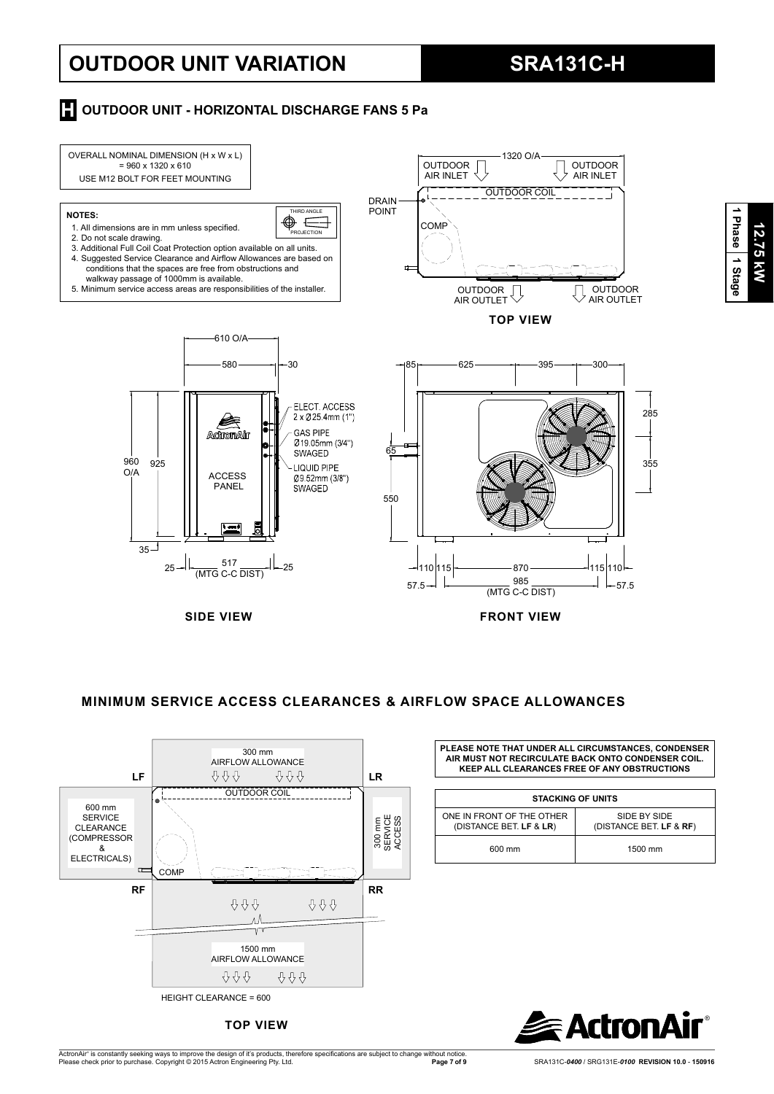# **OUTDOOR UNIT VARIATION SRA131C-H**

**12.75 kW**

12.75 kW

**1 Phase**

 **1 Stage**

## **H** OUTDOOR UNIT - HORIZONTAL DISCHARGE FANS 5 Pa





**TOP VIEW**

**AIR MUST NOT RECIRCULATE BACK ONTO CONDENSER COIL. KEEP ALL CLEARANCES FREE OF ANY OBSTRUCTIONS**

|                                                      | <b>STACKING OF UNITS</b>                |
|------------------------------------------------------|-----------------------------------------|
| ONE IN FRONT OF THE OTHER<br>(DISTANCE BET. LF & LR) | SIDE BY SIDE<br>(DISTANCE BET. LF & RF) |
| 600 mm                                               | 1500 mm                                 |

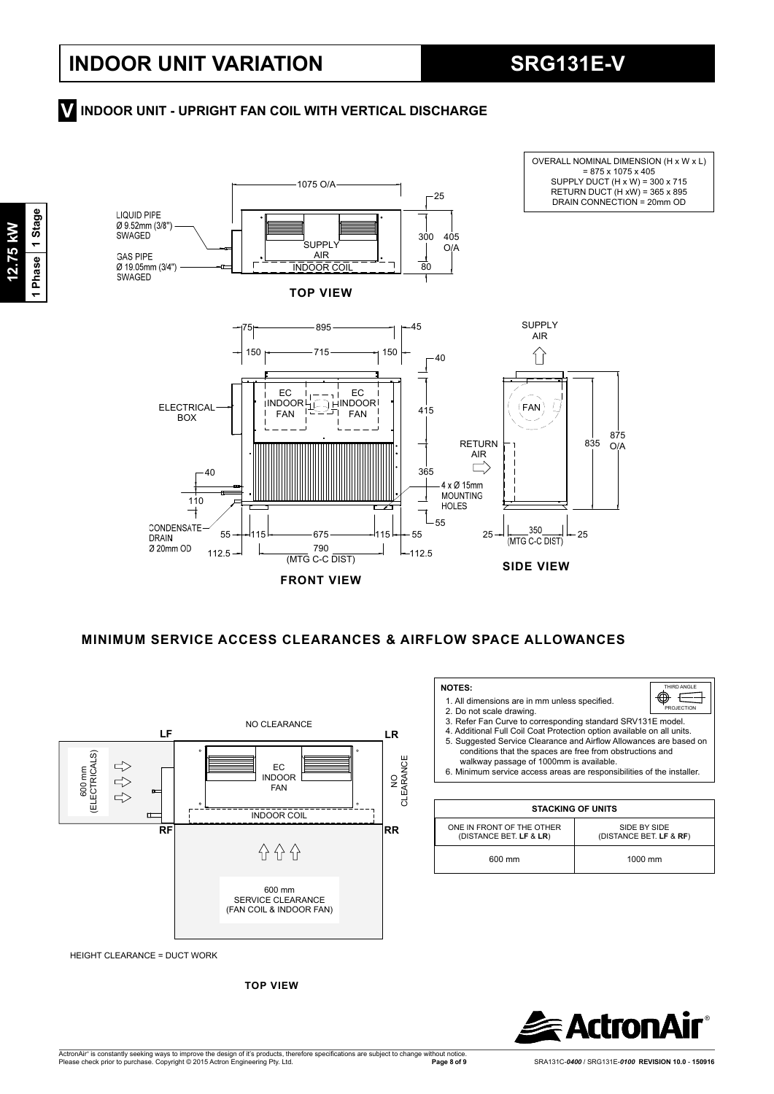OVERALL NOMINAL DIMENSION (H x W x L)

# **INDOOR UNIT - UPRIGHT FAN COIL WITH VERTICAL DISCHARGE V**



**FRONT VIEW**

 **MINIMUM SERVICE ACCESS CLEARANCES & AIRFLOW SPACE ALLOWANCES**

 **NOTES:** 

2.Do not scale drawing.

ONE IN FRONT OF THE OTHER (DISTANCE BET. **LF** & **LR**)

1. All dimensions are in mm unless specified.

walkway passage of 1000mm is available.

3.Refer Fan Curve to corresponding standard SRV131E model. 4. Additional Full Coil Coat Protection option available on all units.<br>5. Suggested Service Clearance and Airflow Allowances are based on conditions that the spaces are free from obstructions and

HIRD ANGLE .<br>PROJECTIO

 $\mathbf{\Phi} \equiv$ 

6.Minimum service access areas are responsibilities of the installer.

**STACKING OF UNITS**

600 mm 1000 mm



HEIGHT CLEARANCE = DUCT WORK

**TOP VIEW**



SIDE BY SIDE (DISTANCE BET. **LF** & **RF**)